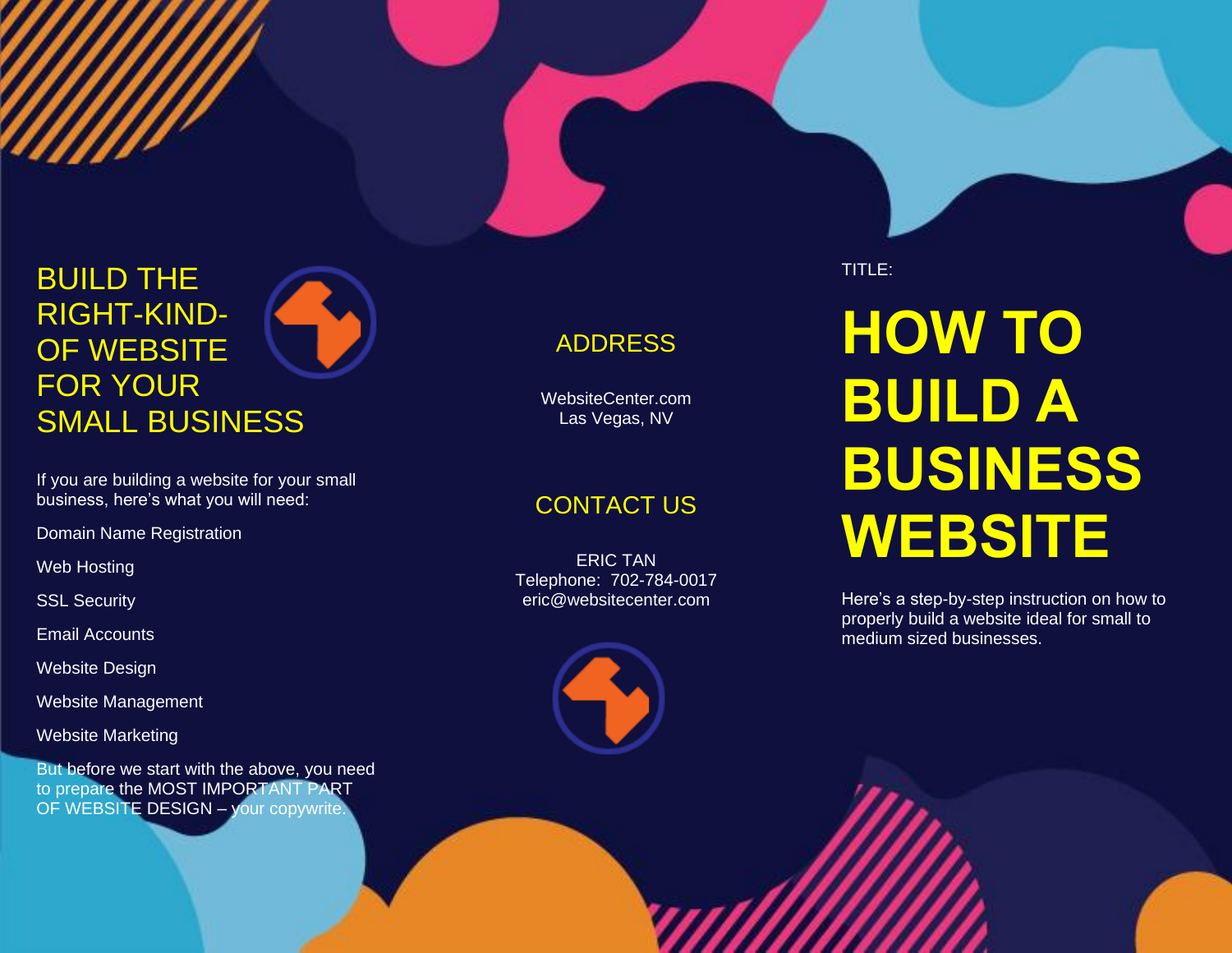# BUILD THE RIGHT -KIND - OF WEBSITE FOR YOUR SMALL BUSINESS

If you are building a website for your small business, here's what you will need:

Domain Name Registration

Web Hosting

SSL Security

Email Accounts

Website Design

Website Management

Website Marketing

But before we start with the above, you need to prepare the MOST IMPORTANT PART OF WEBSITE DESIGN - your copywrite.

# ADDRESS

WebsiteCenter.com Las Vegas, NV

# CONTACT US

ERIC TAN Telephone: 702 -784 -0017 eric@websitecenter.com



TITLE:

# **HOW TO BUILD A BUSINESS WEBSITE**

Here's a step -by -step instruction on how to properly build a website ideal for small to medium sized businesses.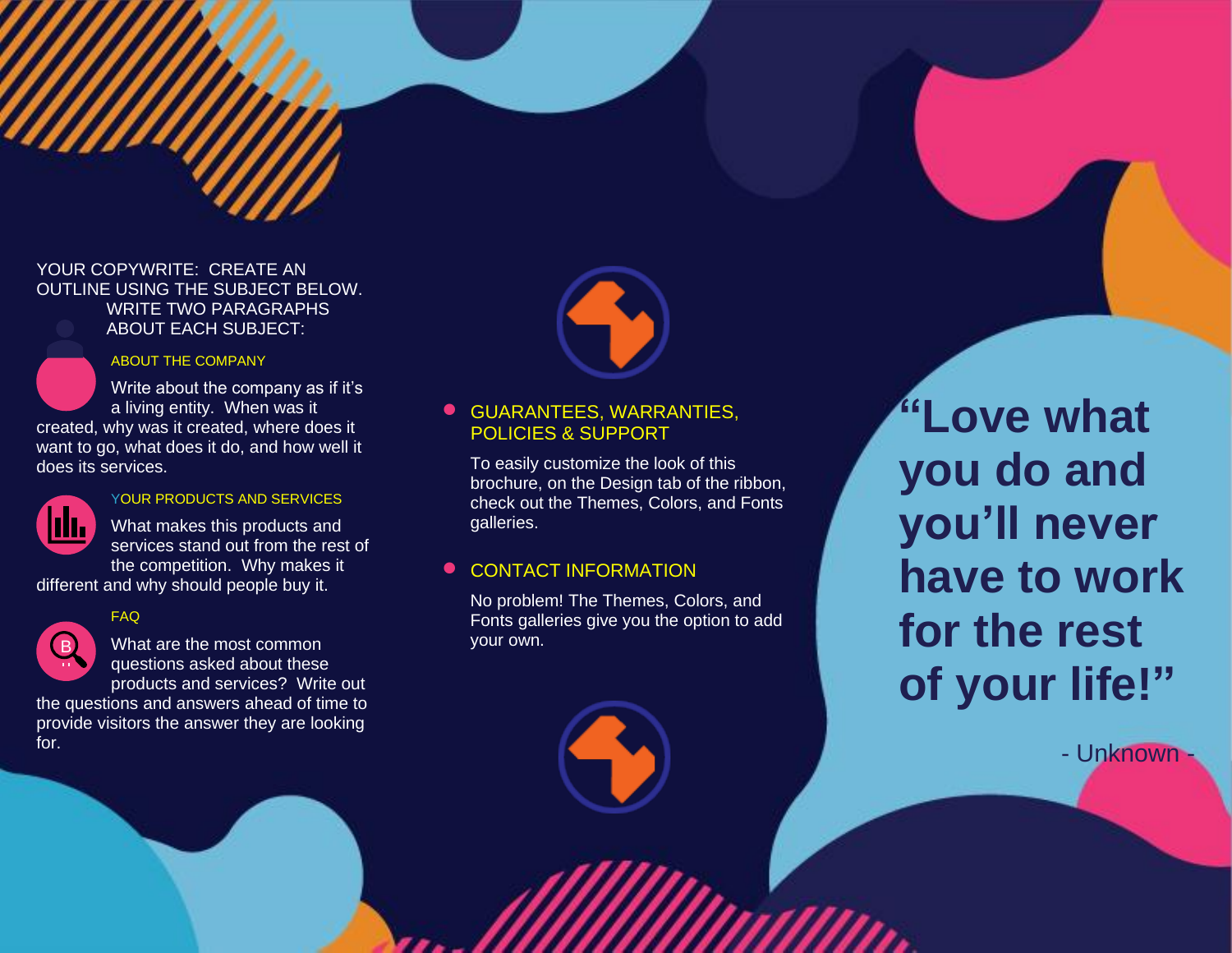## YOUR COPYWRITE: CREATE AN OUTLINE USING THE SUBJECT BELOW. WRITE TWO PARAGRAPHS ABOUT EACH SUBJECT:



Write about the company as if it's a living entity. When was it created, why was it created, where does it want to go, what does it do, and how well it



does its services.

#### YOUR PRODUCTS AND SERVICES

What makes this products and services stand out from the rest of the competition. Why makes it different and why should people buy it.

#### FAQ



vi

What are the most common questions asked about these products and services? Write out

the questions and answers ahead of time to provide visitors the answer they are looking for. fo ī



# • GUARANTEES, WARRANTIES, POLICIES & SUPPORT

To easily customize the look of this brochure, on the Design tab of the ribbon, check out the Themes, Colors, and Fonts galleries.

# **• CONTACT INFORMATION**

No problem! The Themes, Colors, and Fonts galleries give you the option to add your own.

**"Love what you do and you'll never have to work for the rest of your life!"**

- Unknown -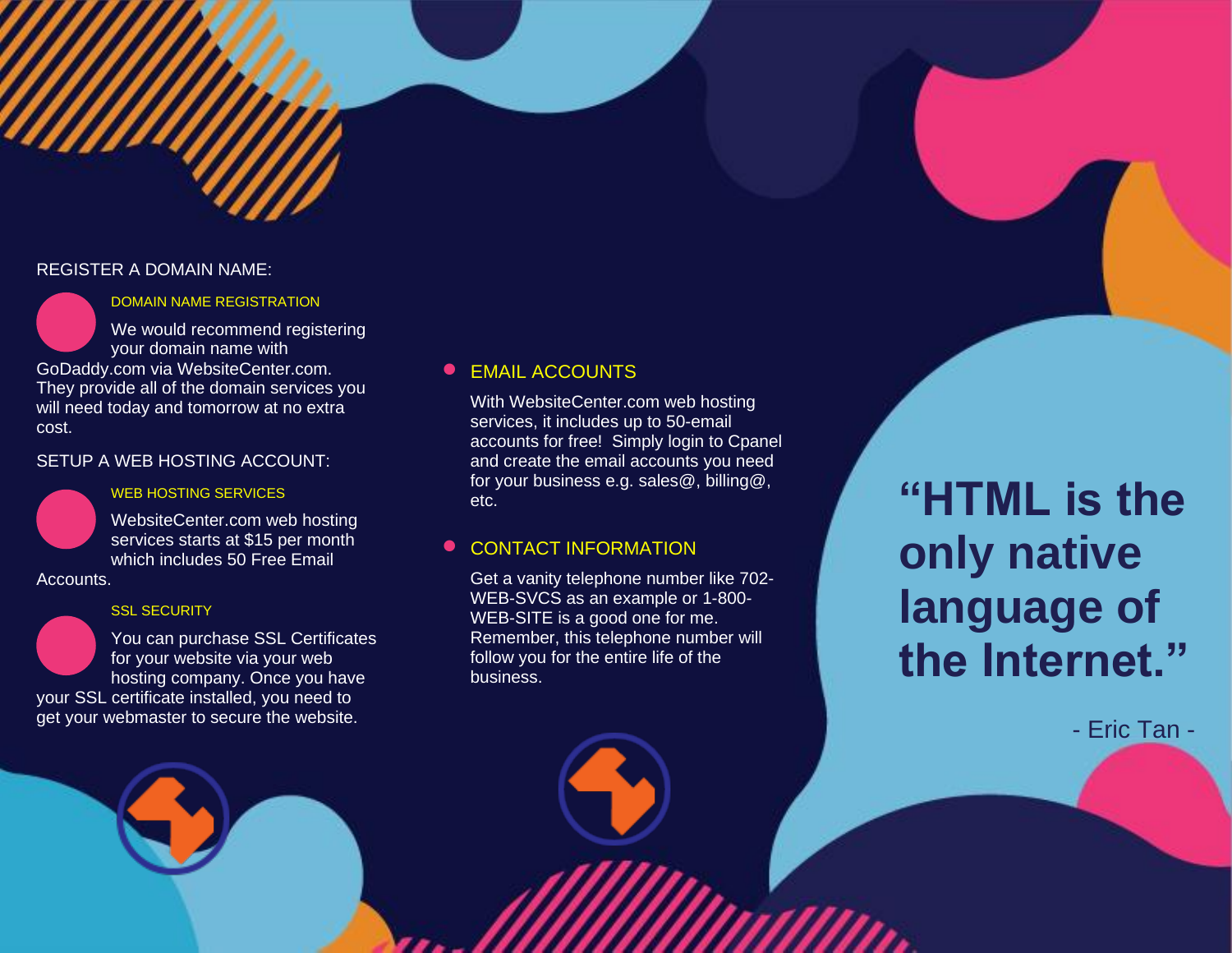#### REGISTER A DOMAIN NAME:



#### DOMAIN NAME REGISTRATION

We would recommend registering your domain name with GoDaddy.com via WebsiteCenter.com. They provide all of the domain services you will need today and tomorrow at no extra cost.

SETUP A WEB HOSTING ACCOUNT:

## WEB HOSTING SERVICES

WebsiteCenter.com web hosting services starts at \$15 per month which includes 50 Free Email

Accounts.

### **SSL SECURITY**

You can purchase SSL Certificates for your website via your web hosting company. Once you have

your SSL certificate installed, you need to get your webmaster to secure the website.

# **EMAIL ACCOUNTS**

With WebsiteCenter.com web hosting services, it includes up to 50-email accounts for free! Simply login to Cpanel and create the email accounts you need for your business e.g. sales@, billing@, etc.

# **• CONTACT INFORMATION**

Get a vanity telephone number like 702- WEB-SVCS as an example or 1-800- WEB-SITE is a good one for me. Remember, this telephone number will follow you for the entire life of the business.

**"HTML is the only native language of the Internet."**

- Eric Tan -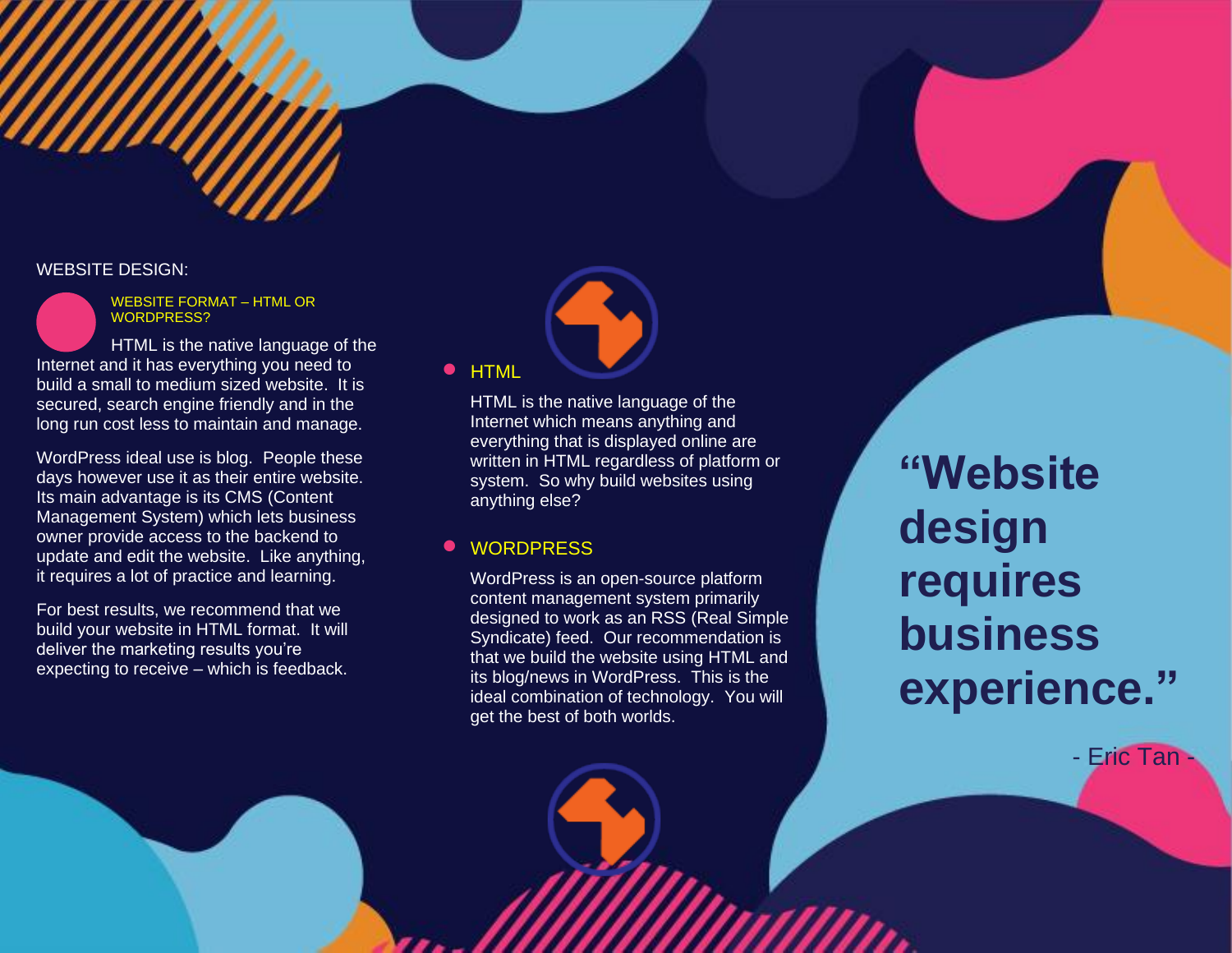## WEBSITE DESIGN:



WEBSITE FORMAT – HTML OR WORDPRESS?

HTML is the native language of the Internet and it has everything you need to build a small to medium sized website. It is secured, search engine friendly and in the long run cost less to maintain and manage.

WordPress ideal use is blog. People these days however use it as their entire website. Its main advantage is its CMS (Content Management System) which lets business owner provide access to the backend to update and edit the website. Like anything, it requires a lot of practice and learning.

For best results, we recommend that we build your website in HTML format. It will deliver the marketing results you're expecting to receive – which is feedback.

#### • HTML

HTML is the native language of the Internet which means anything and everything that is displayed online are written in HTML regardless of platform or system. So why build websites using anything else?

# **WORDPRESS**

WordPress is an open-source platform content management system primarily designed to work as an RSS (Real Simple Syndicate) feed. Our recommendation is that we build the website using HTML and its blog/news in WordPress. This is the ideal combination of technology. You will get the best of both worlds.

**"Website design requires business experience."**

- Eric Tan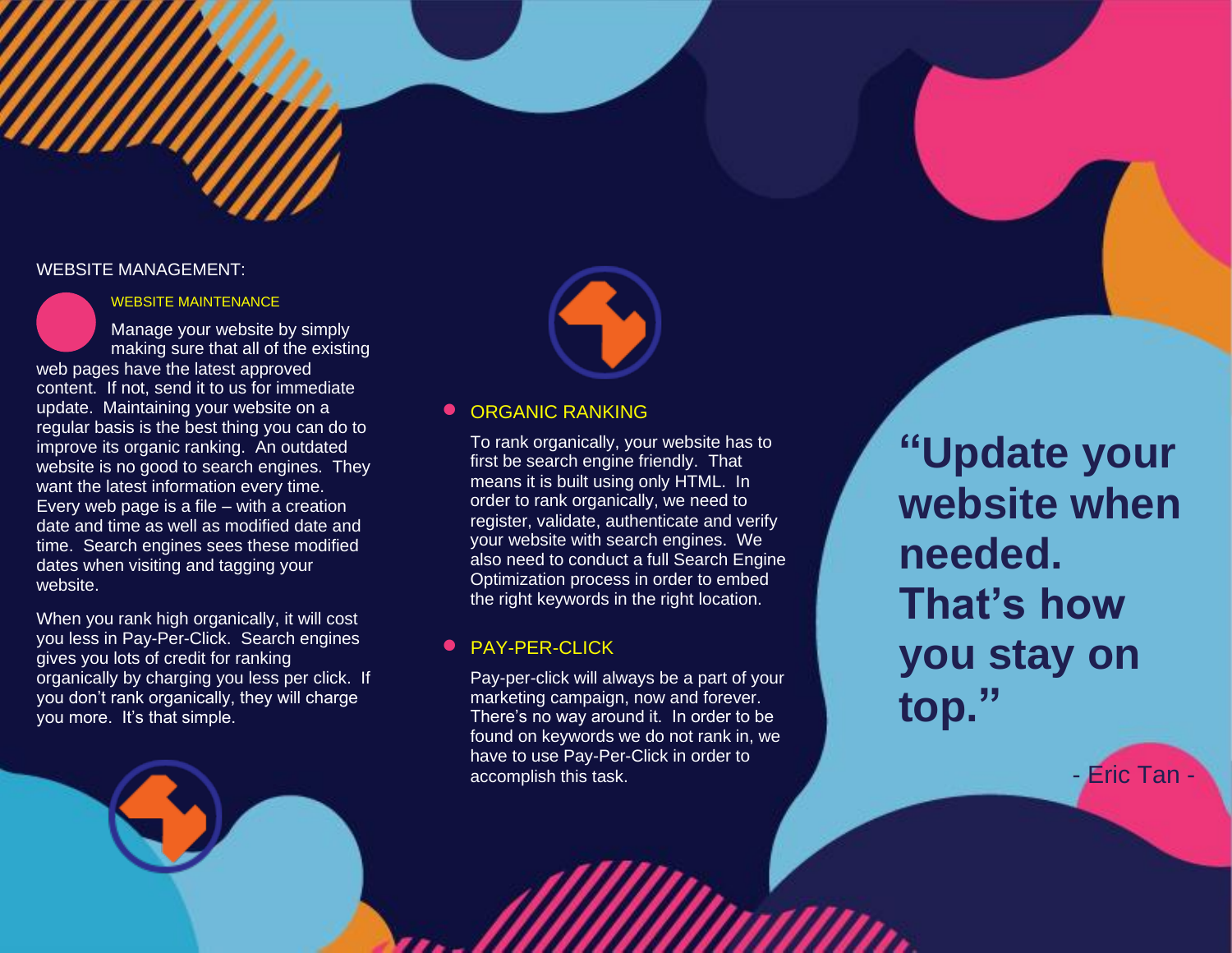#### WEBSITE MANAGEMENT:



#### WEBSITE MAINTENANCE

Manage your website by simply making sure that all of the existing web pages have the latest approved content. If not, send it to us for immediate update. Maintaining your website on a regular basis is the best thing you can do to improve its organic ranking. An outdated website is no good to search engines. They want the latest information every time. Every web page is a file – with a creation date and time as well as modified date and time. Search engines sees these modified dates when visiting and tagging your website.

When you rank high organically, it will cost you less in Pay-Per-Click. Search engines gives you lots of credit for ranking organically by charging you less per click. If you don't rank organically, they will charge you more. It's that simple.



## **• ORGANIC RANKING**

To rank organically, your website has to first be search engine friendly. That means it is built using only HTML. In order to rank organically, we need to register, validate, authenticate and verify your website with search engines. We also need to conduct a full Search Engine Optimization process in order to embed the right keywords in the right location.

### • PAY-PER-CLICK

Pay-per-click will always be a part of your marketing campaign, now and forever. There's no way around it. In order to be found on keywords we do not rank in, we have to use Pay-Per-Click in order to accomplish this task.

**"Update your website when needed. That's how you stay on top."**

- **Eric Tan**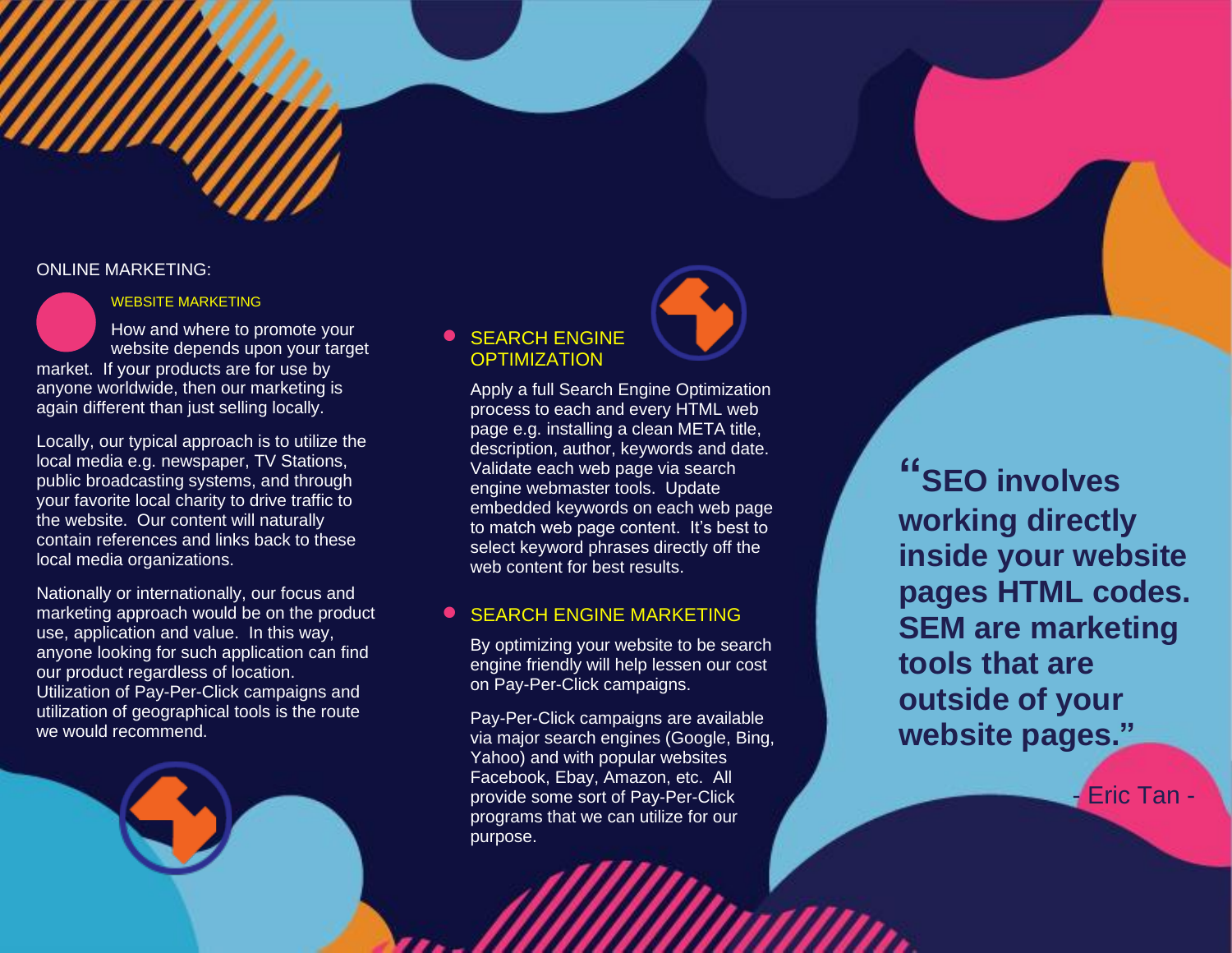#### ONLINE MARKETING:



Locally, our typical approach is to utilize the local media e.g. newspaper, TV Stations, public broadcasting systems, and through your favorite local charity to drive traffic to the website. Our content will naturally contain references and links back to these local media organizations.

Nationally or internationally, our focus and marketing approach would be on the product use, application and value. In this way, anyone looking for such application can find our product regardless of location. Utilization of Pay-Per-Click campaigns and utilization of geographical tools is the route we would recommend.

# **• SEARCH ENGINE OPTIMIZATION**

Apply a full Search Engine Optimization process to each and every HTML web page e.g. installing a clean META title, description, author, keywords and date. Validate each web page via search engine webmaster tools. Update embedded keywords on each web page to match web page content. It's best to select keyword phrases directly off the web content for best results.

# **SEARCH ENGINE MARKETING**

By optimizing your website to be search engine friendly will help lessen our cost on Pay-Per-Click campaigns.

Pay-Per-Click campaigns are available via major search engines (Google, Bing, Yahoo) and with popular websites Facebook, Ebay, Amazon, etc. All provide some sort of Pay-Per-Click programs that we can utilize for our purpose.

**"SEO involves working directly inside your website pages HTML codes. SEM are marketing tools that are outside of your website pages."**

- Eric Tan -